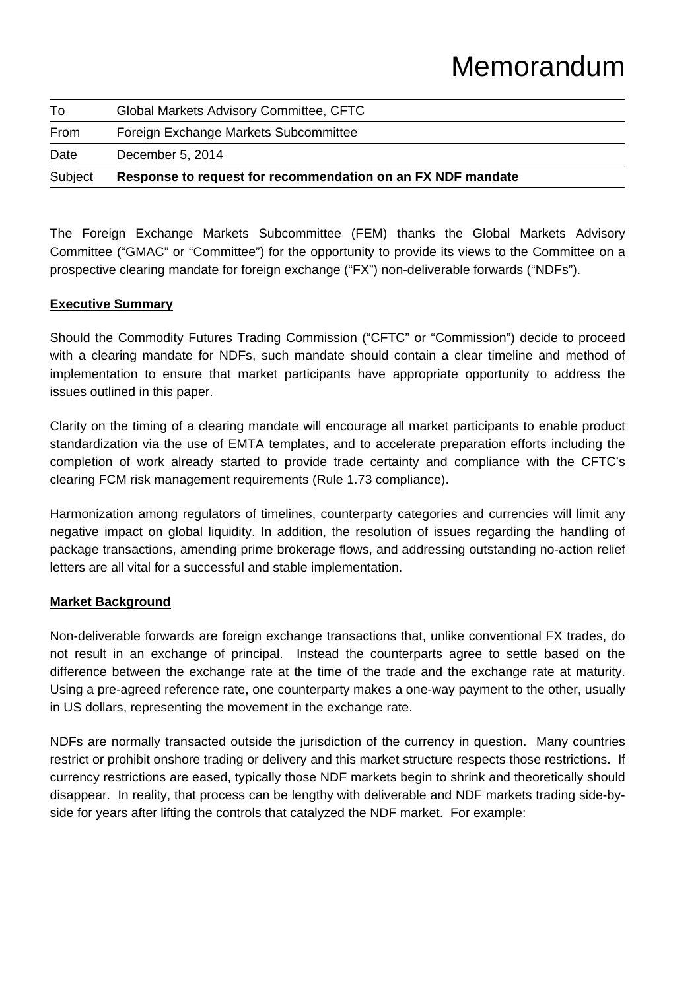| Subject | Response to request for recommendation on an FX NDF mandate |  |
|---------|-------------------------------------------------------------|--|
| Date    | December 5, 2014                                            |  |
| From    | Foreign Exchange Markets Subcommittee                       |  |
| To      | Global Markets Advisory Committee, CFTC                     |  |
|         |                                                             |  |

The Foreign Exchange Markets Subcommittee (FEM) thanks the Global Markets Advisory Committee ("GMAC" or "Committee") for the opportunity to provide its views to the Committee on a prospective clearing mandate for foreign exchange ("FX") non-deliverable forwards ("NDFs").

#### **Executive Summary**

Should the Commodity Futures Trading Commission ("CFTC" or "Commission") decide to proceed with a clearing mandate for NDFs, such mandate should contain a clear timeline and method of implementation to ensure that market participants have appropriate opportunity to address the issues outlined in this paper.

Clarity on the timing of a clearing mandate will encourage all market participants to enable product standardization via the use of EMTA templates, and to accelerate preparation efforts including the completion of work already started to provide trade certainty and compliance with the CFTC's clearing FCM risk management requirements (Rule 1.73 compliance).

Harmonization among regulators of timelines, counterparty categories and currencies will limit any negative impact on global liquidity. In addition, the resolution of issues regarding the handling of package transactions, amending prime brokerage flows, and addressing outstanding no-action relief letters are all vital for a successful and stable implementation.

### **Market Background**

Non-deliverable forwards are foreign exchange transactions that, unlike conventional FX trades, do not result in an exchange of principal. Instead the counterparts agree to settle based on the difference between the exchange rate at the time of the trade and the exchange rate at maturity. Using a pre-agreed reference rate, one counterparty makes a one-way payment to the other, usually in US dollars, representing the movement in the exchange rate.

NDFs are normally transacted outside the jurisdiction of the currency in question. Many countries restrict or prohibit onshore trading or delivery and this market structure respects those restrictions. If currency restrictions are eased, typically those NDF markets begin to shrink and theoretically should disappear. In reality, that process can be lengthy with deliverable and NDF markets trading side-byside for years after lifting the controls that catalyzed the NDF market. For example: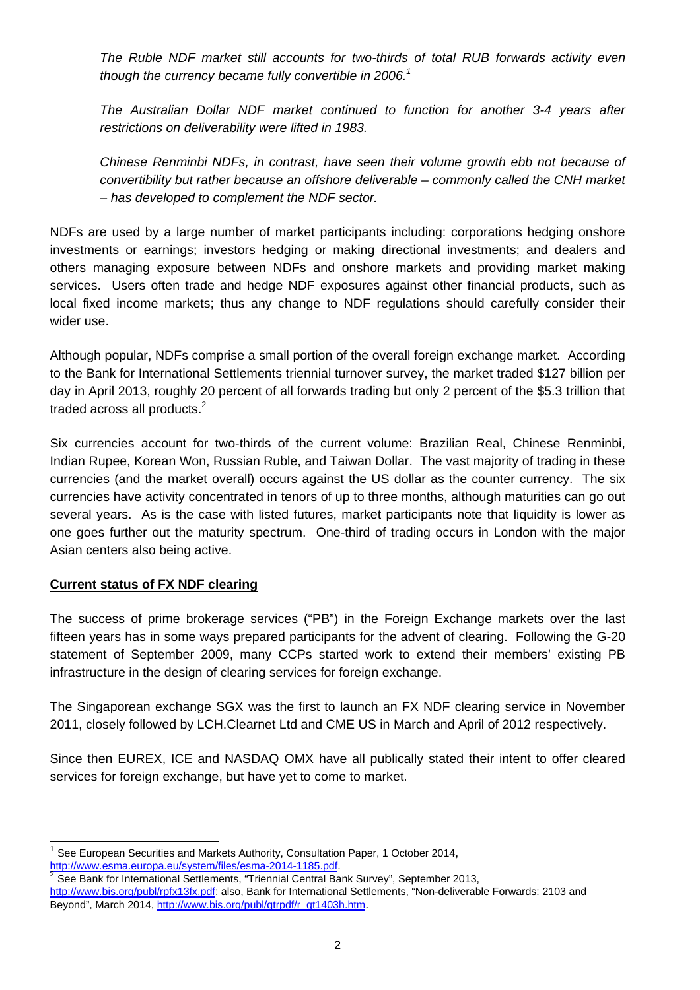*The Ruble NDF market still accounts for two-thirds of total RUB forwards activity even*  though the currency became fully convertible in 2006.<sup>1</sup>

*The Australian Dollar NDF market continued to function for another 3-4 years after restrictions on deliverability were lifted in 1983.* 

*Chinese Renminbi NDFs, in contrast, have seen their volume growth ebb not because of convertibility but rather because an offshore deliverable – commonly called the CNH market – has developed to complement the NDF sector.* 

NDFs are used by a large number of market participants including: corporations hedging onshore investments or earnings; investors hedging or making directional investments; and dealers and others managing exposure between NDFs and onshore markets and providing market making services. Users often trade and hedge NDF exposures against other financial products, such as local fixed income markets; thus any change to NDF regulations should carefully consider their wider use.

Although popular, NDFs comprise a small portion of the overall foreign exchange market. According to the Bank for International Settlements triennial turnover survey, the market traded \$127 billion per day in April 2013, roughly 20 percent of all forwards trading but only 2 percent of the \$5.3 trillion that traded across all products. $2$ 

Six currencies account for two-thirds of the current volume: Brazilian Real, Chinese Renminbi, Indian Rupee, Korean Won, Russian Ruble, and Taiwan Dollar. The vast majority of trading in these currencies (and the market overall) occurs against the US dollar as the counter currency. The six currencies have activity concentrated in tenors of up to three months, although maturities can go out several years. As is the case with listed futures, market participants note that liquidity is lower as one goes further out the maturity spectrum. One-third of trading occurs in London with the major Asian centers also being active.

### **Current status of FX NDF clearing**

l

The success of prime brokerage services ("PB") in the Foreign Exchange markets over the last fifteen years has in some ways prepared participants for the advent of clearing. Following the G-20 statement of September 2009, many CCPs started work to extend their members' existing PB infrastructure in the design of clearing services for foreign exchange.

The Singaporean exchange SGX was the first to launch an FX NDF clearing service in November 2011, closely followed by LCH.Clearnet Ltd and CME US in March and April of 2012 respectively.

Since then EUREX, ICE and NASDAQ OMX have all publically stated their intent to offer cleared services for foreign exchange, but have yet to come to market.

<sup>1</sup> See European Securities and Markets Authority, Consultation Paper, 1 October 2014, http://www.esma.europa.eu/system/files/esma-2014-1185.pdf.<br>
<sup>2</sup> See Bank for International Settlements, "Triennial Central Bank Survey", September 2013,

http://www.bis.org/publ/rpfx13fx.pdf; also, Bank for International Settlements, "Non-deliverable Forwards: 2103 and Beyond", March 2014, http://www.bis.org/publ/qtrpdf/r\_qt1403h.htm.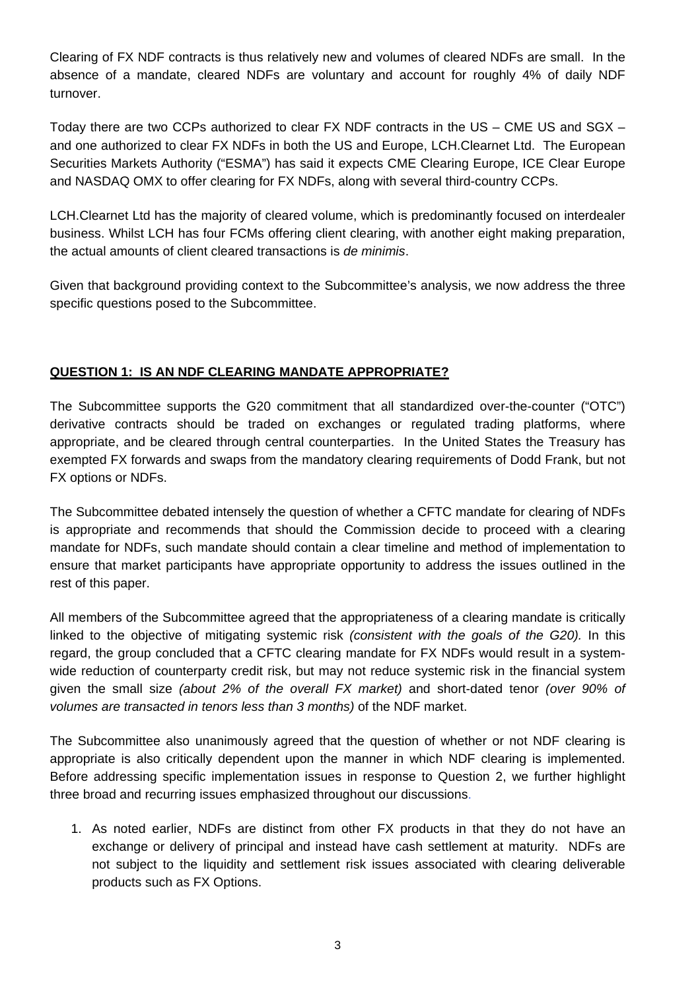Clearing of FX NDF contracts is thus relatively new and volumes of cleared NDFs are small. In the absence of a mandate, cleared NDFs are voluntary and account for roughly 4% of daily NDF turnover.

Today there are two CCPs authorized to clear FX NDF contracts in the US – CME US and SGX – and one authorized to clear FX NDFs in both the US and Europe, LCH.Clearnet Ltd. The European Securities Markets Authority ("ESMA") has said it expects CME Clearing Europe, ICE Clear Europe and NASDAQ OMX to offer clearing for FX NDFs, along with several third-country CCPs.

LCH.Clearnet Ltd has the majority of cleared volume, which is predominantly focused on interdealer business. Whilst LCH has four FCMs offering client clearing, with another eight making preparation, the actual amounts of client cleared transactions is *de minimis*.

Given that background providing context to the Subcommittee's analysis, we now address the three specific questions posed to the Subcommittee.

### **QUESTION 1: IS AN NDF CLEARING MANDATE APPROPRIATE?**

The Subcommittee supports the G20 commitment that all standardized over-the-counter ("OTC") derivative contracts should be traded on exchanges or regulated trading platforms, where appropriate, and be cleared through central counterparties. In the United States the Treasury has exempted FX forwards and swaps from the mandatory clearing requirements of Dodd Frank, but not FX options or NDFs.

The Subcommittee debated intensely the question of whether a CFTC mandate for clearing of NDFs is appropriate and recommends that should the Commission decide to proceed with a clearing mandate for NDFs, such mandate should contain a clear timeline and method of implementation to ensure that market participants have appropriate opportunity to address the issues outlined in the rest of this paper.

All members of the Subcommittee agreed that the appropriateness of a clearing mandate is critically linked to the objective of mitigating systemic risk *(consistent with the goals of the G20).* In this regard, the group concluded that a CFTC clearing mandate for FX NDFs would result in a systemwide reduction of counterparty credit risk, but may not reduce systemic risk in the financial system given the small size *(about 2% of the overall FX market)* and short-dated tenor *(over 90% of volumes are transacted in tenors less than 3 months)* of the NDF market.

The Subcommittee also unanimously agreed that the question of whether or not NDF clearing is appropriate is also critically dependent upon the manner in which NDF clearing is implemented. Before addressing specific implementation issues in response to Question 2, we further highlight three broad and recurring issues emphasized throughout our discussions.

1. As noted earlier, NDFs are distinct from other FX products in that they do not have an exchange or delivery of principal and instead have cash settlement at maturity. NDFs are not subject to the liquidity and settlement risk issues associated with clearing deliverable products such as FX Options.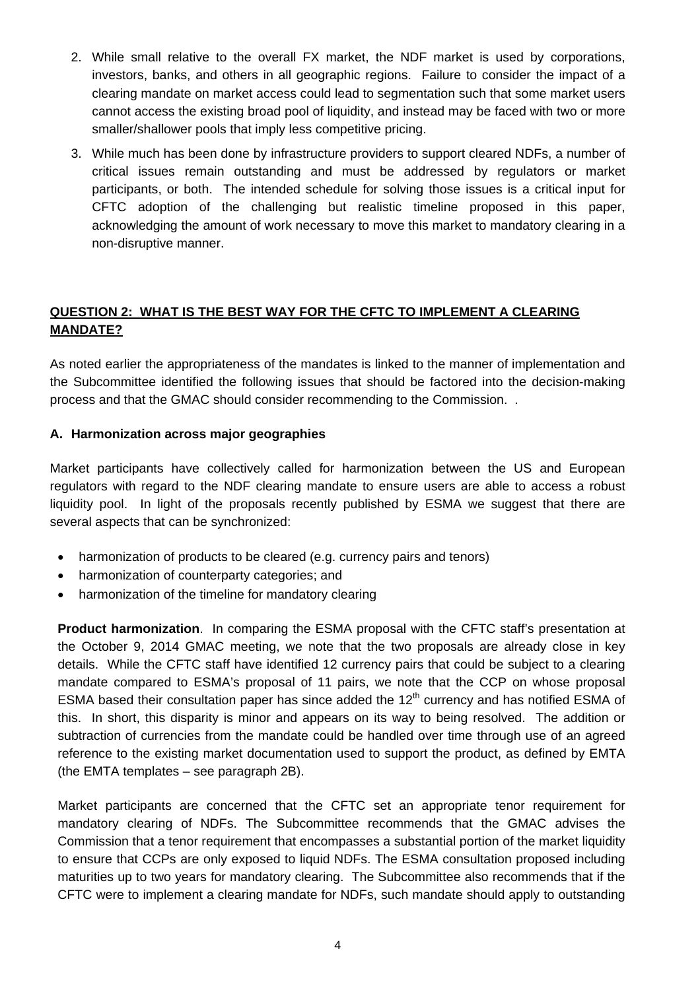- 2. While small relative to the overall FX market, the NDF market is used by corporations, investors, banks, and others in all geographic regions. Failure to consider the impact of a clearing mandate on market access could lead to segmentation such that some market users cannot access the existing broad pool of liquidity, and instead may be faced with two or more smaller/shallower pools that imply less competitive pricing.
- 3. While much has been done by infrastructure providers to support cleared NDFs, a number of critical issues remain outstanding and must be addressed by regulators or market participants, or both. The intended schedule for solving those issues is a critical input for CFTC adoption of the challenging but realistic timeline proposed in this paper, acknowledging the amount of work necessary to move this market to mandatory clearing in a non-disruptive manner.

## **QUESTION 2: WHAT IS THE BEST WAY FOR THE CFTC TO IMPLEMENT A CLEARING MANDATE?**

As noted earlier the appropriateness of the mandates is linked to the manner of implementation and the Subcommittee identified the following issues that should be factored into the decision-making process and that the GMAC should consider recommending to the Commission. .

### **A. Harmonization across major geographies**

Market participants have collectively called for harmonization between the US and European regulators with regard to the NDF clearing mandate to ensure users are able to access a robust liquidity pool. In light of the proposals recently published by ESMA we suggest that there are several aspects that can be synchronized:

- harmonization of products to be cleared (e.g. currency pairs and tenors)
- harmonization of counterparty categories; and
- harmonization of the timeline for mandatory clearing

**Product harmonization**. In comparing the ESMA proposal with the CFTC staff's presentation at the October 9, 2014 GMAC meeting, we note that the two proposals are already close in key details. While the CFTC staff have identified 12 currency pairs that could be subject to a clearing mandate compared to ESMA's proposal of 11 pairs, we note that the CCP on whose proposal ESMA based their consultation paper has since added the  $12<sup>th</sup>$  currency and has notified ESMA of this. In short, this disparity is minor and appears on its way to being resolved. The addition or subtraction of currencies from the mandate could be handled over time through use of an agreed reference to the existing market documentation used to support the product, as defined by EMTA (the EMTA templates – see paragraph 2B).

Market participants are concerned that the CFTC set an appropriate tenor requirement for mandatory clearing of NDFs. The Subcommittee recommends that the GMAC advises the Commission that a tenor requirement that encompasses a substantial portion of the market liquidity to ensure that CCPs are only exposed to liquid NDFs. The ESMA consultation proposed including maturities up to two years for mandatory clearing. The Subcommittee also recommends that if the CFTC were to implement a clearing mandate for NDFs, such mandate should apply to outstanding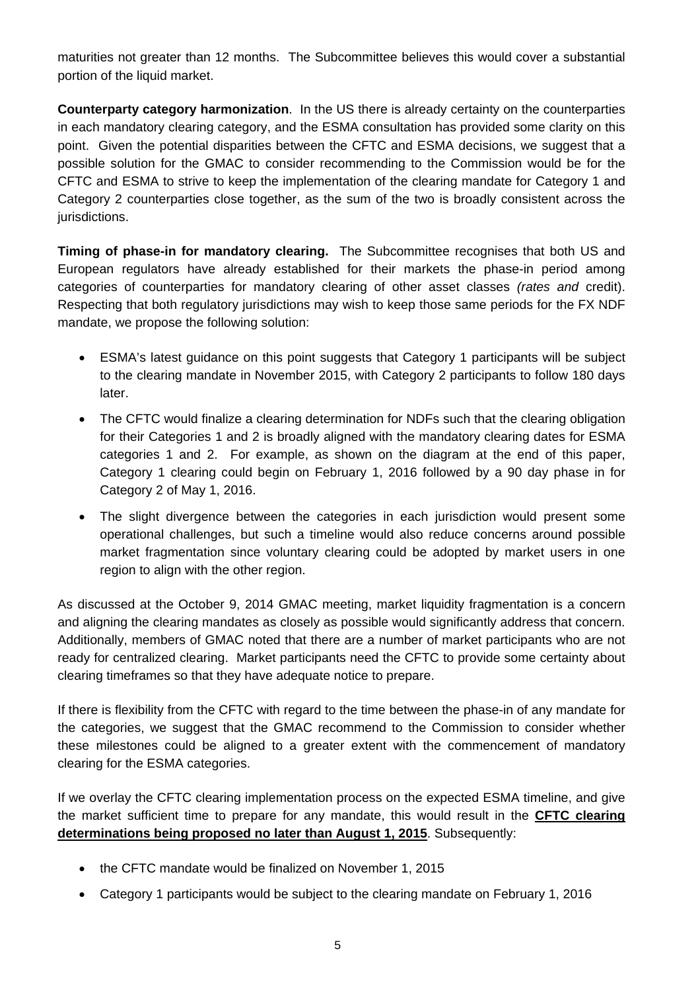maturities not greater than 12 months. The Subcommittee believes this would cover a substantial portion of the liquid market.

**Counterparty category harmonization**. In the US there is already certainty on the counterparties in each mandatory clearing category, and the ESMA consultation has provided some clarity on this point. Given the potential disparities between the CFTC and ESMA decisions, we suggest that a possible solution for the GMAC to consider recommending to the Commission would be for the CFTC and ESMA to strive to keep the implementation of the clearing mandate for Category 1 and Category 2 counterparties close together, as the sum of the two is broadly consistent across the jurisdictions.

**Timing of phase-in for mandatory clearing.** The Subcommittee recognises that both US and European regulators have already established for their markets the phase-in period among categories of counterparties for mandatory clearing of other asset classes *(rates and* credit). Respecting that both regulatory jurisdictions may wish to keep those same periods for the FX NDF mandate, we propose the following solution:

- ESMA's latest guidance on this point suggests that Category 1 participants will be subject to the clearing mandate in November 2015, with Category 2 participants to follow 180 days later.
- The CFTC would finalize a clearing determination for NDFs such that the clearing obligation for their Categories 1 and 2 is broadly aligned with the mandatory clearing dates for ESMA categories 1 and 2. For example, as shown on the diagram at the end of this paper, Category 1 clearing could begin on February 1, 2016 followed by a 90 day phase in for Category 2 of May 1, 2016.
- The slight divergence between the categories in each jurisdiction would present some operational challenges, but such a timeline would also reduce concerns around possible market fragmentation since voluntary clearing could be adopted by market users in one region to align with the other region.

As discussed at the October 9, 2014 GMAC meeting, market liquidity fragmentation is a concern and aligning the clearing mandates as closely as possible would significantly address that concern. Additionally, members of GMAC noted that there are a number of market participants who are not ready for centralized clearing. Market participants need the CFTC to provide some certainty about clearing timeframes so that they have adequate notice to prepare.

If there is flexibility from the CFTC with regard to the time between the phase-in of any mandate for the categories, we suggest that the GMAC recommend to the Commission to consider whether these milestones could be aligned to a greater extent with the commencement of mandatory clearing for the ESMA categories.

If we overlay the CFTC clearing implementation process on the expected ESMA timeline, and give the market sufficient time to prepare for any mandate, this would result in the **CFTC clearing determinations being proposed no later than August 1, 2015**. Subsequently:

- the CFTC mandate would be finalized on November 1, 2015
- Category 1 participants would be subject to the clearing mandate on February 1, 2016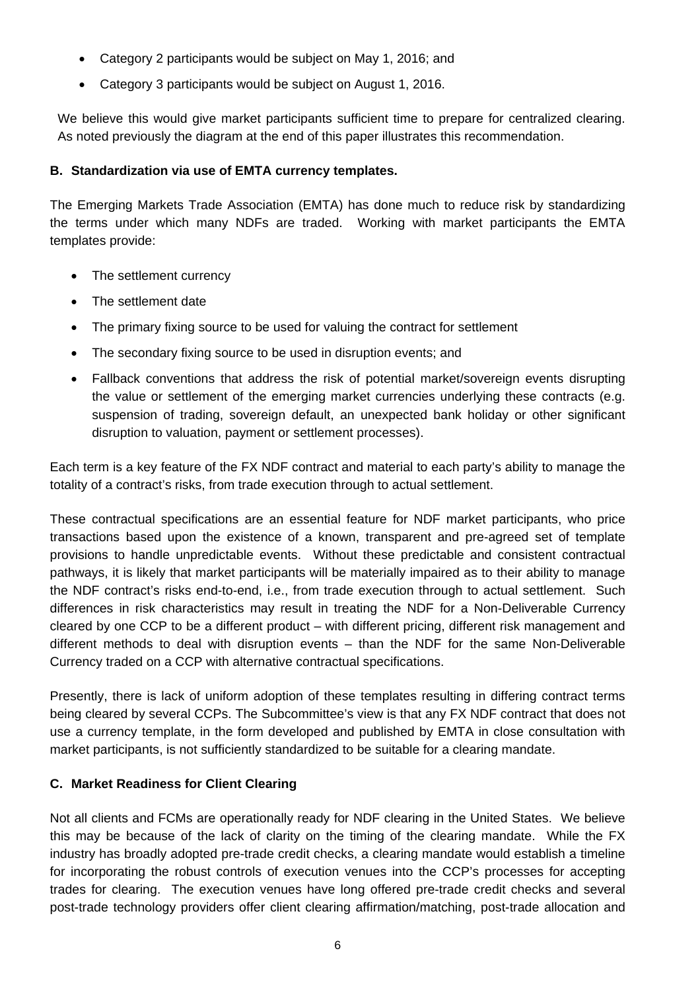- Category 2 participants would be subject on May 1, 2016; and
- Category 3 participants would be subject on August 1, 2016.

We believe this would give market participants sufficient time to prepare for centralized clearing. As noted previously the diagram at the end of this paper illustrates this recommendation.

### **B. Standardization via use of EMTA currency templates.**

The Emerging Markets Trade Association (EMTA) has done much to reduce risk by standardizing the terms under which many NDFs are traded. Working with market participants the EMTA templates provide:

- The settlement currency
- The settlement date
- The primary fixing source to be used for valuing the contract for settlement
- The secondary fixing source to be used in disruption events; and
- Fallback conventions that address the risk of potential market/sovereign events disrupting the value or settlement of the emerging market currencies underlying these contracts (e.g. suspension of trading, sovereign default, an unexpected bank holiday or other significant disruption to valuation, payment or settlement processes).

Each term is a key feature of the FX NDF contract and material to each party's ability to manage the totality of a contract's risks, from trade execution through to actual settlement.

These contractual specifications are an essential feature for NDF market participants, who price transactions based upon the existence of a known, transparent and pre-agreed set of template provisions to handle unpredictable events. Without these predictable and consistent contractual pathways, it is likely that market participants will be materially impaired as to their ability to manage the NDF contract's risks end-to-end, i.e., from trade execution through to actual settlement. Such differences in risk characteristics may result in treating the NDF for a Non-Deliverable Currency cleared by one CCP to be a different product – with different pricing, different risk management and different methods to deal with disruption events – than the NDF for the same Non-Deliverable Currency traded on a CCP with alternative contractual specifications.

Presently, there is lack of uniform adoption of these templates resulting in differing contract terms being cleared by several CCPs. The Subcommittee's view is that any FX NDF contract that does not use a currency template, in the form developed and published by EMTA in close consultation with market participants, is not sufficiently standardized to be suitable for a clearing mandate.

### **C. Market Readiness for Client Clearing**

Not all clients and FCMs are operationally ready for NDF clearing in the United States. We believe this may be because of the lack of clarity on the timing of the clearing mandate. While the FX industry has broadly adopted pre-trade credit checks, a clearing mandate would establish a timeline for incorporating the robust controls of execution venues into the CCP's processes for accepting trades for clearing. The execution venues have long offered pre-trade credit checks and several post-trade technology providers offer client clearing affirmation/matching, post-trade allocation and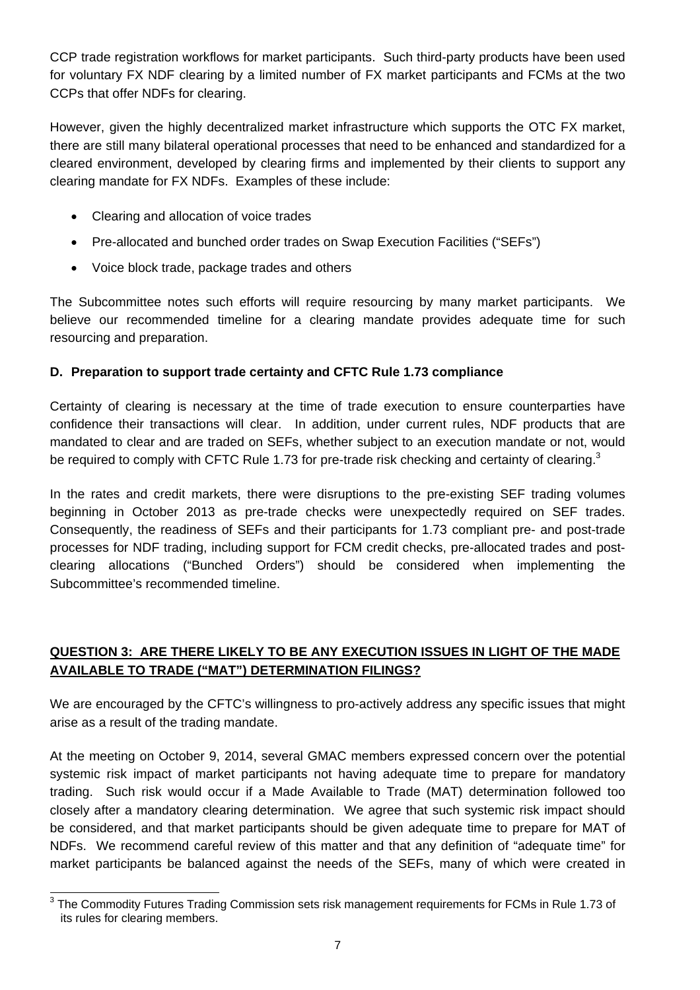CCP trade registration workflows for market participants. Such third-party products have been used for voluntary FX NDF clearing by a limited number of FX market participants and FCMs at the two CCPs that offer NDFs for clearing.

However, given the highly decentralized market infrastructure which supports the OTC FX market, there are still many bilateral operational processes that need to be enhanced and standardized for a cleared environment, developed by clearing firms and implemented by their clients to support any clearing mandate for FX NDFs. Examples of these include:

- Clearing and allocation of voice trades
- Pre-allocated and bunched order trades on Swap Execution Facilities ("SEFs")
- Voice block trade, package trades and others

The Subcommittee notes such efforts will require resourcing by many market participants. We believe our recommended timeline for a clearing mandate provides adequate time for such resourcing and preparation.

## **D. Preparation to support trade certainty and CFTC Rule 1.73 compliance**

Certainty of clearing is necessary at the time of trade execution to ensure counterparties have confidence their transactions will clear. In addition, under current rules, NDF products that are mandated to clear and are traded on SEFs, whether subject to an execution mandate or not, would be required to comply with CFTC Rule 1.73 for pre-trade risk checking and certainty of clearing.<sup>3</sup>

In the rates and credit markets, there were disruptions to the pre-existing SEF trading volumes beginning in October 2013 as pre-trade checks were unexpectedly required on SEF trades. Consequently, the readiness of SEFs and their participants for 1.73 compliant pre- and post-trade processes for NDF trading, including support for FCM credit checks, pre-allocated trades and postclearing allocations ("Bunched Orders") should be considered when implementing the Subcommittee's recommended timeline.

## **QUESTION 3: ARE THERE LIKELY TO BE ANY EXECUTION ISSUES IN LIGHT OF THE MADE AVAILABLE TO TRADE ("MAT") DETERMINATION FILINGS?**

We are encouraged by the CFTC's willingness to pro-actively address any specific issues that might arise as a result of the trading mandate.

At the meeting on October 9, 2014, several GMAC members expressed concern over the potential systemic risk impact of market participants not having adequate time to prepare for mandatory trading. Such risk would occur if a Made Available to Trade (MAT) determination followed too closely after a mandatory clearing determination. We agree that such systemic risk impact should be considered, and that market participants should be given adequate time to prepare for MAT of NDFs. We recommend careful review of this matter and that any definition of "adequate time" for market participants be balanced against the needs of the SEFs, many of which were created in

 3 The Commodity Futures Trading Commission sets risk management requirements for FCMs in Rule 1.73 of its rules for clearing members.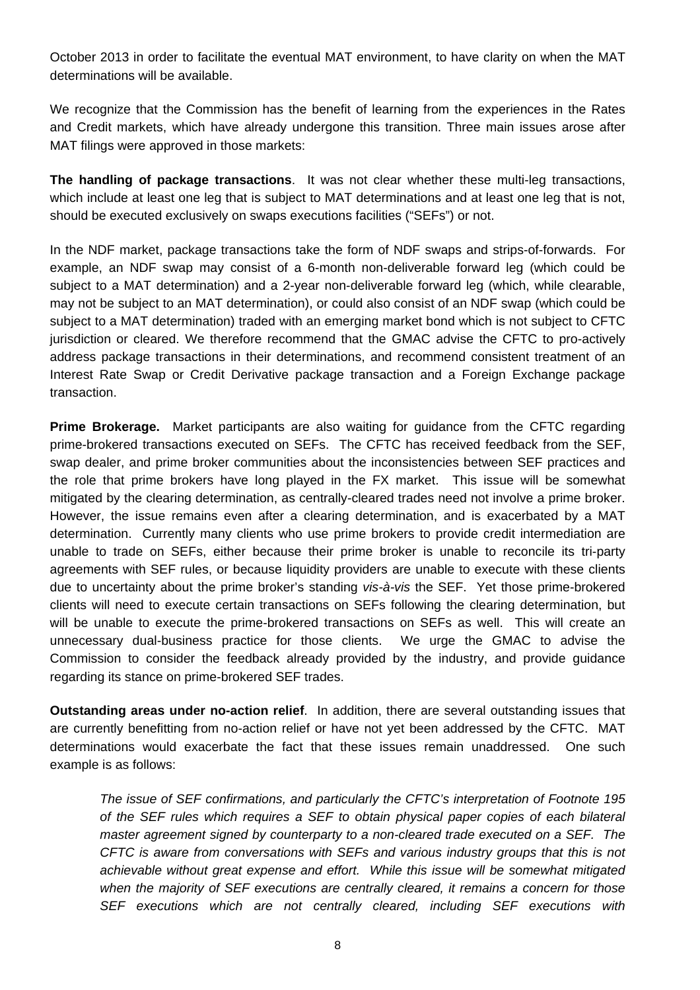October 2013 in order to facilitate the eventual MAT environment, to have clarity on when the MAT determinations will be available.

We recognize that the Commission has the benefit of learning from the experiences in the Rates and Credit markets, which have already undergone this transition. Three main issues arose after MAT filings were approved in those markets:

**The handling of package transactions**. It was not clear whether these multi-leg transactions, which include at least one leg that is subject to MAT determinations and at least one leg that is not, should be executed exclusively on swaps executions facilities ("SEFs") or not.

In the NDF market, package transactions take the form of NDF swaps and strips-of-forwards. For example, an NDF swap may consist of a 6-month non-deliverable forward leg (which could be subject to a MAT determination) and a 2-year non-deliverable forward leg (which, while clearable, may not be subject to an MAT determination), or could also consist of an NDF swap (which could be subject to a MAT determination) traded with an emerging market bond which is not subject to CFTC jurisdiction or cleared. We therefore recommend that the GMAC advise the CFTC to pro-actively address package transactions in their determinations, and recommend consistent treatment of an Interest Rate Swap or Credit Derivative package transaction and a Foreign Exchange package transaction.

**Prime Brokerage.** Market participants are also waiting for guidance from the CFTC regarding prime-brokered transactions executed on SEFs. The CFTC has received feedback from the SEF, swap dealer, and prime broker communities about the inconsistencies between SEF practices and the role that prime brokers have long played in the FX market. This issue will be somewhat mitigated by the clearing determination, as centrally-cleared trades need not involve a prime broker. However, the issue remains even after a clearing determination, and is exacerbated by a MAT determination. Currently many clients who use prime brokers to provide credit intermediation are unable to trade on SEFs, either because their prime broker is unable to reconcile its tri-party agreements with SEF rules, or because liquidity providers are unable to execute with these clients due to uncertainty about the prime broker's standing *vis-à-vis* the SEF. Yet those prime-brokered clients will need to execute certain transactions on SEFs following the clearing determination, but will be unable to execute the prime-brokered transactions on SEFs as well. This will create an unnecessary dual-business practice for those clients. We urge the GMAC to advise the Commission to consider the feedback already provided by the industry, and provide guidance regarding its stance on prime-brokered SEF trades.

**Outstanding areas under no-action relief**. In addition, there are several outstanding issues that are currently benefitting from no-action relief or have not yet been addressed by the CFTC. MAT determinations would exacerbate the fact that these issues remain unaddressed. One such example is as follows:

*The issue of SEF confirmations, and particularly the CFTC's interpretation of Footnote 195 of the SEF rules which requires a SEF to obtain physical paper copies of each bilateral master agreement signed by counterparty to a non-cleared trade executed on a SEF. The CFTC is aware from conversations with SEFs and various industry groups that this is not achievable without great expense and effort. While this issue will be somewhat mitigated when the majority of SEF executions are centrally cleared, it remains a concern for those SEF executions which are not centrally cleared, including SEF executions with*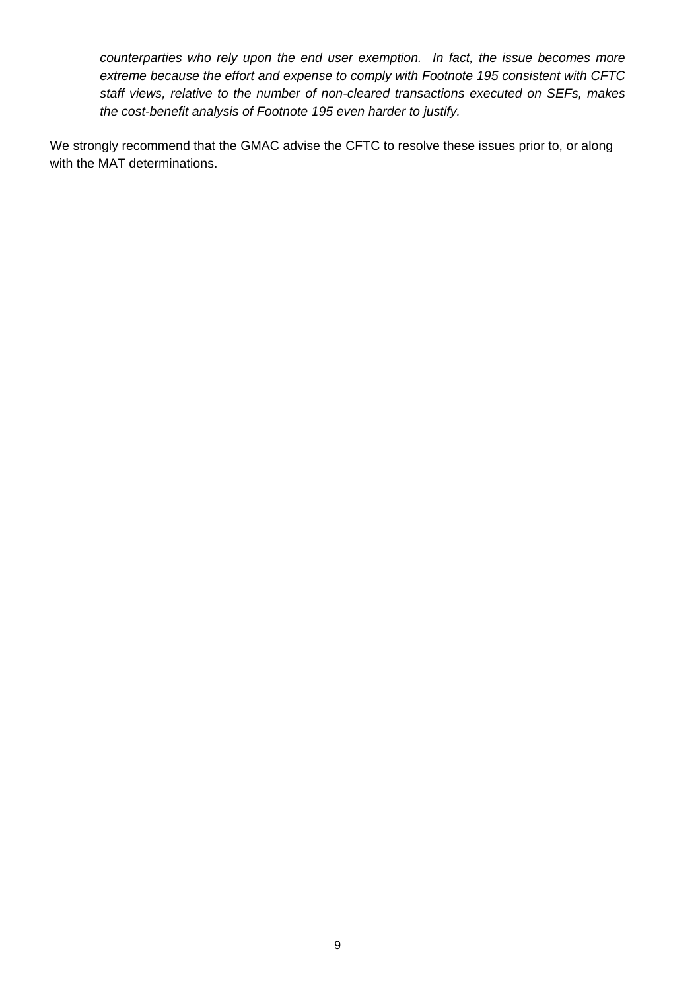*counterparties who rely upon the end user exemption. In fact, the issue becomes more extreme because the effort and expense to comply with Footnote 195 consistent with CFTC staff views, relative to the number of non-cleared transactions executed on SEFs, makes the cost-benefit analysis of Footnote 195 even harder to justify.* 

We strongly recommend that the GMAC advise the CFTC to resolve these issues prior to, or along with the MAT determinations.